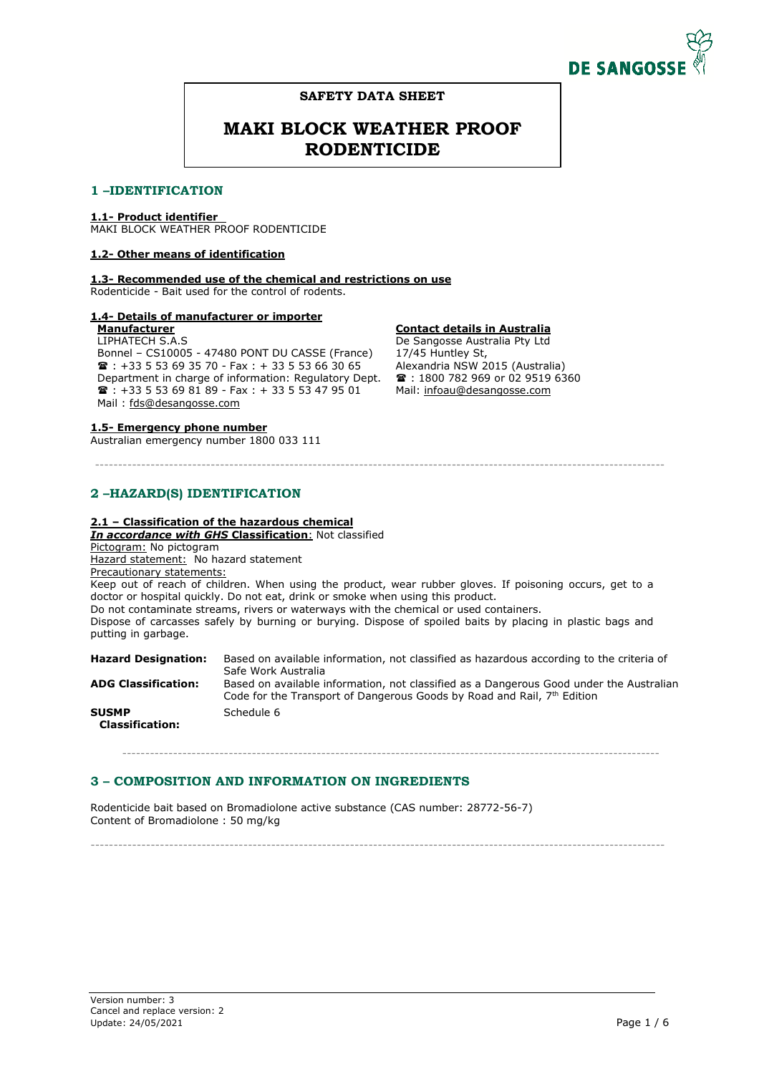

# **SAFETY DATA SHEET**

# **MAKI BLOCK WEATHER PROOF RODENTICIDE**

# 1 -IDENTIFICATION

# **1.1- Product identifier**

MAKI BLOCK WEATHER PROOF RODENTICIDE

# **1.2- Other means of identification**

**1.3- Recommended use of the chemical and restrictions on use**

Rodenticide - Bait used for the control of rodents.

# **1.4- Details of manufacturer or importer**

#### **Manufacturer**  LIPHATECH S.A.S

Bonnel – CS10005 - 47480 PONT DU CASSE (France)  $\text{R}$  : +33 5 53 69 35 70 - Fax : + 33 5 53 66 30 65 Department in charge of information: Regulatory Dept.  $\overline{\bullet}$  : +33 5 53 69 81 89 - Fax : + 33 5 53 47 95 01 Mail : fds@desangosse.com

# **1.5- Emergency phone number**

Australian emergency number 1800 033 111

# **Contact details in Australia**

De Sangosse Australia Pty Ltd 17/45 Huntley St, Alexandria NSW 2015 (Australia)  $\text{1800}$  782 969 or 02 9519 6360 Mail: infoau@desangosse.com

# **-- -**

# **2.1 – Classification of the hazardous chemical**

*In accordance with GHS* **Classification**: Not classified

Pictogram: No pictogram

Hazard statement: No hazard statement

Precautionary statements:

Keep out of reach of children. When using the product, wear rubber gloves. If poisoning occurs, get to a doctor or hospital quickly. Do not eat, drink or smoke when using this product.

---------------------------------------------------------------------------------------------------------------------------

Do not contaminate streams, rivers or waterways with the chemical or used containers.

Dispose of carcasses safely by burning or burying. Dispose of spoiled baits by placing in plastic bags and putting in garbage.

| <b>Hazard Designation:</b>             | Based on available information, not classified as hazardous according to the criteria of<br>Safe Work Australia                                                    |
|----------------------------------------|--------------------------------------------------------------------------------------------------------------------------------------------------------------------|
| <b>ADG Classification:</b>             | Based on available information, not classified as a Dangerous Good under the Australian<br>Code for the Transport of Dangerous Goods by Road and Rail, 7th Edition |
| <b>SUSMP</b><br><b>Classification:</b> | Schedule 6                                                                                                                                                         |

--------------------------------------------------------------------------------------------------------------------

# 3 – COMPOSITION AND INFORMATION ON INGREDIENTS

Rodenticide bait based on Bromadiolone active substance (CAS number: 28772-56-7) Content of Bromadiolone : 50 mg/kg

----------------------------------------------------------------------------------------------------------------------------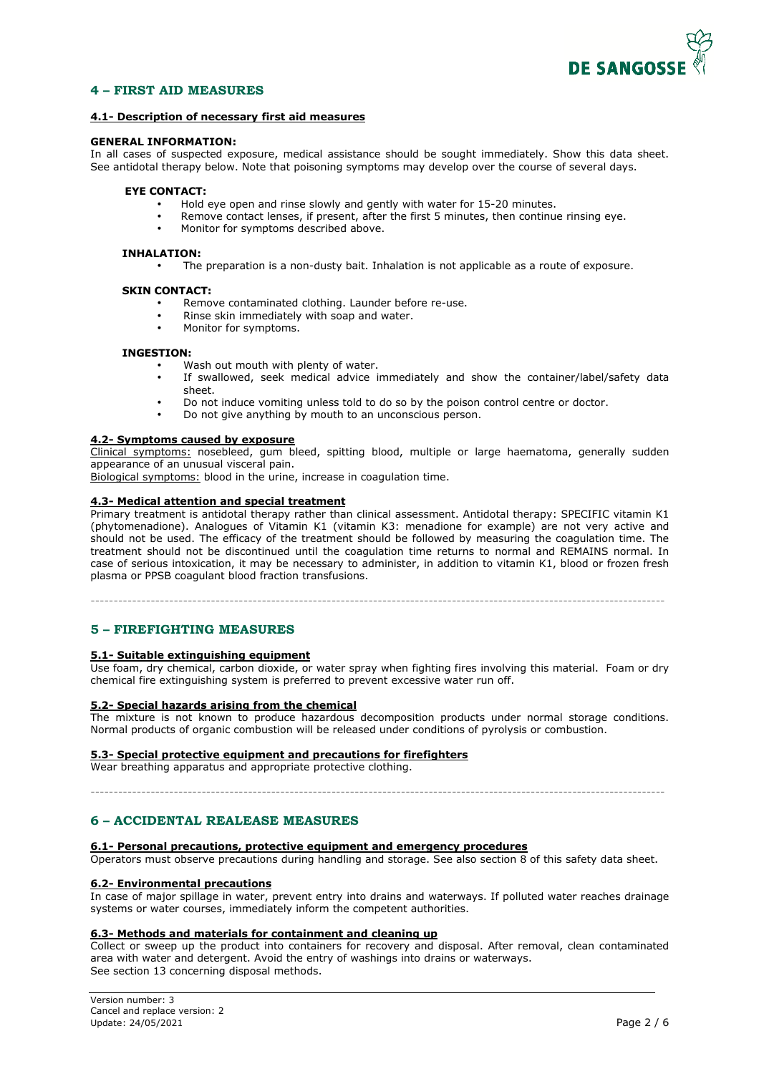

# **4 - FIRST AID MEASURES**

# **4.1- Description of necessary first aid measures**

### **GENERAL INFORMATION:**

In all cases of suspected exposure, medical assistance should be sought immediately. Show this data sheet. See antidotal therapy below. Note that poisoning symptoms may develop over the course of several days.

# **EYE CONTACT:**

- Hold eye open and rinse slowly and gently with water for 15-20 minutes.
- Remove contact lenses, if present, after the first 5 minutes, then continue rinsing eye.
- Monitor for symptoms described above.

#### **INHALATION:**

• The preparation is a non-dusty bait. Inhalation is not applicable as a route of exposure.

#### **SKIN CONTACT:**

- Remove contaminated clothing. Launder before re-use.
- Rinse skin immediately with soap and water.
- Monitor for symptoms.

#### **INGESTION:**

- Wash out mouth with plenty of water.
- If swallowed, seek medical advice immediately and show the container/label/safety data sheet.
- Do not induce vomiting unless told to do so by the poison control centre or doctor.
- Do not give anything by mouth to an unconscious person.

# **4.2- Symptoms caused by exposure**

Clinical symptoms: nosebleed, gum bleed, spitting blood, multiple or large haematoma, generally sudden appearance of an unusual visceral pain.

Biological symptoms: blood in the urine, increase in coagulation time.

# **4.3- Medical attention and special treatment**

Primary treatment is antidotal therapy rather than clinical assessment. Antidotal therapy: SPECIFIC vitamin K1 (phytomenadione). Analogues of Vitamin K1 (vitamin K3: menadione for example) are not very active and should not be used. The efficacy of the treatment should be followed by measuring the coagulation time. The treatment should not be discontinued until the coagulation time returns to normal and REMAINS normal. In case of serious intoxication, it may be necessary to administer, in addition to vitamin K1, blood or frozen fresh plasma or PPSB coagulant blood fraction transfusions.

----------------------------------------------------------------------------------------------------------------------------

# 5 – FIREFIGHTING MEASURES

#### **5.1- Suitable extinguishing equipment**

Use foam, dry chemical, carbon dioxide, or water spray when fighting fires involving this material. Foam or dry chemical fire extinguishing system is preferred to prevent excessive water run off.

# **5.2- Special hazards arising from the chemical**

The mixture is not known to produce hazardous decomposition products under normal storage conditions. Normal products of organic combustion will be released under conditions of pyrolysis or combustion.

#### **5.3- Special protective equipment and precautions for firefighters**

Wear breathing apparatus and appropriate protective clothing.

----------------------------------------------------------------------------------------------------------------------------

# **6 - ACCIDENTAL REALEASE MEASURES**

#### **6.1- Personal precautions, protective equipment and emergency procedures**

Operators must observe precautions during handling and storage. See also section 8 of this safety data sheet.

#### **6.2- Environmental precautions**

In case of major spillage in water, prevent entry into drains and waterways. If polluted water reaches drainage systems or water courses, immediately inform the competent authorities.

#### **6.3- Methods and materials for containment and cleaning up**

Collect or sweep up the product into containers for recovery and disposal. After removal, clean contaminated area with water and detergent. Avoid the entry of washings into drains or waterways. See section 13 concerning disposal methods.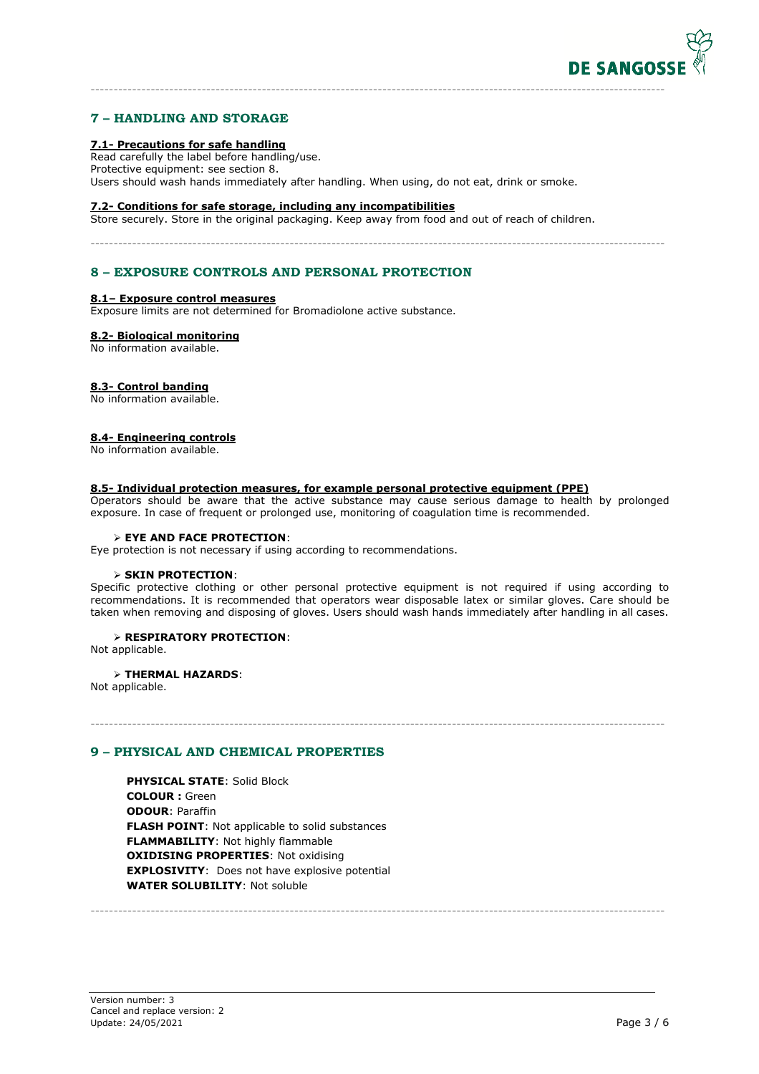

# 7 – HANDLING AND STORAGE

# **7.1- Precautions for safe handling**

Read carefully the label before handling/use. Protective equipment: see section 8. Users should wash hands immediately after handling. When using, do not eat, drink or smoke.

----------------------------------------------------------------------------------------------------------------------------

----------------------------------------------------------------------------------------------------------------------------

#### **7.2- Conditions for safe storage, including any incompatibilities**

Store securely. Store in the original packaging. Keep away from food and out of reach of children.

# 8 – EXPOSURE CONTROLS AND PERSONAL PROTECTION

#### **8.1– Exposure control measures**

Exposure limits are not determined for Bromadiolone active substance.

#### **8.2- Biological monitoring**

No information available.

#### **8.3- Control banding**

No information available.

#### **8.4- Engineering controls**

No information available.

#### **8.5- Individual protection measures, for example personal protective equipment (PPE)**

Operators should be aware that the active substance may cause serious damage to health by prolonged exposure. In case of frequent or prolonged use, monitoring of coagulation time is recommended.

#### **EYE AND FACE PROTECTION**:

Eye protection is not necessary if using according to recommendations.

#### **SKIN PROTECTION**:

Specific protective clothing or other personal protective equipment is not required if using according to recommendations. It is recommended that operators wear disposable latex or similar gloves. Care should be taken when removing and disposing of gloves. Users should wash hands immediately after handling in all cases.

----------------------------------------------------------------------------------------------------------------------------

----------------------------------------------------------------------------------------------------------------------------

#### **RESPIRATORY PROTECTION**:

Not applicable.

#### **THERMAL HAZARDS**:

Not applicable.

# 9 - PHYSICAL AND CHEMICAL PROPERTIES

**PHYSICAL STATE**: Solid Block **COLOUR :** Green **ODOUR**: Paraffin **FLASH POINT**: Not applicable to solid substances **FLAMMABILITY**: Not highly flammable **OXIDISING PROPERTIES**: Not oxidising **EXPLOSIVITY**: Does not have explosive potential **WATER SOLUBILITY**: Not soluble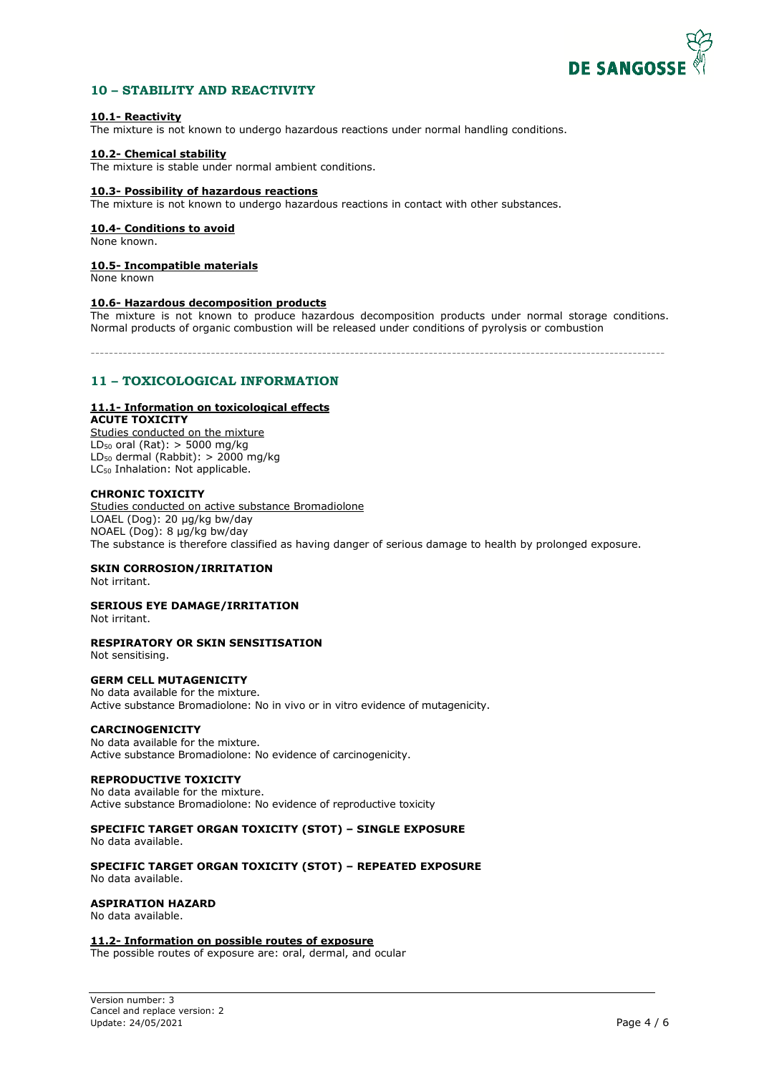

# 10 - STABILITY AND REACTIVITY

# **10.1- Reactivity**

The mixture is not known to undergo hazardous reactions under normal handling conditions.

# **10.2- Chemical stability**

The mixture is stable under normal ambient conditions.

#### **10.3- Possibility of hazardous reactions**

The mixture is not known to undergo hazardous reactions in contact with other substances.

# **10.4- Conditions to avoid**

None known.

# **10.5- Incompatible materials**

None known

#### **10.6- Hazardous decomposition products**

The mixture is not known to produce hazardous decomposition products under normal storage conditions. Normal products of organic combustion will be released under conditions of pyrolysis or combustion

----------------------------------------------------------------------------------------------------------------------------

# 11 - TOXICOLOGICAL INFORMATION

# **11.1- Information on toxicological effects**

**ACUTE TOXICITY**  Studies conducted on the mixture  $LD_{50}$  oral (Rat): > 5000 mg/kg LD<sub>50</sub> dermal (Rabbit):  $> 2000$  mg/kg

LC<sub>50</sub> Inhalation: Not applicable.

# **CHRONIC TOXICITY**

Studies conducted on active substance Bromadiolone LOAEL (Dog): 20 µg/kg bw/day NOAEL (Dog): 8 µg/kg bw/day The substance is therefore classified as having danger of serious damage to health by prolonged exposure.

# **SKIN CORROSION/IRRITATION**

Not irritant.

# **SERIOUS EYE DAMAGE/IRRITATION**

Not irritant.

#### **RESPIRATORY OR SKIN SENSITISATION**

Not sensitising.

### **GERM CELL MUTAGENICITY**

No data available for the mixture. Active substance Bromadiolone: No in vivo or in vitro evidence of mutagenicity.

#### **CARCINOGENICITY**

No data available for the mixture. Active substance Bromadiolone: No evidence of carcinogenicity.

# **REPRODUCTIVE TOXICITY**

No data available for the mixture. Active substance Bromadiolone: No evidence of reproductive toxicity

# **SPECIFIC TARGET ORGAN TOXICITY (STOT) – SINGLE EXPOSURE**

No data available.

#### **SPECIFIC TARGET ORGAN TOXICITY (STOT) – REPEATED EXPOSURE**  No data available.

# **ASPIRATION HAZARD**

No data available.

# **11.2- Information on possible routes of exposure**

The possible routes of exposure are: oral, dermal, and ocular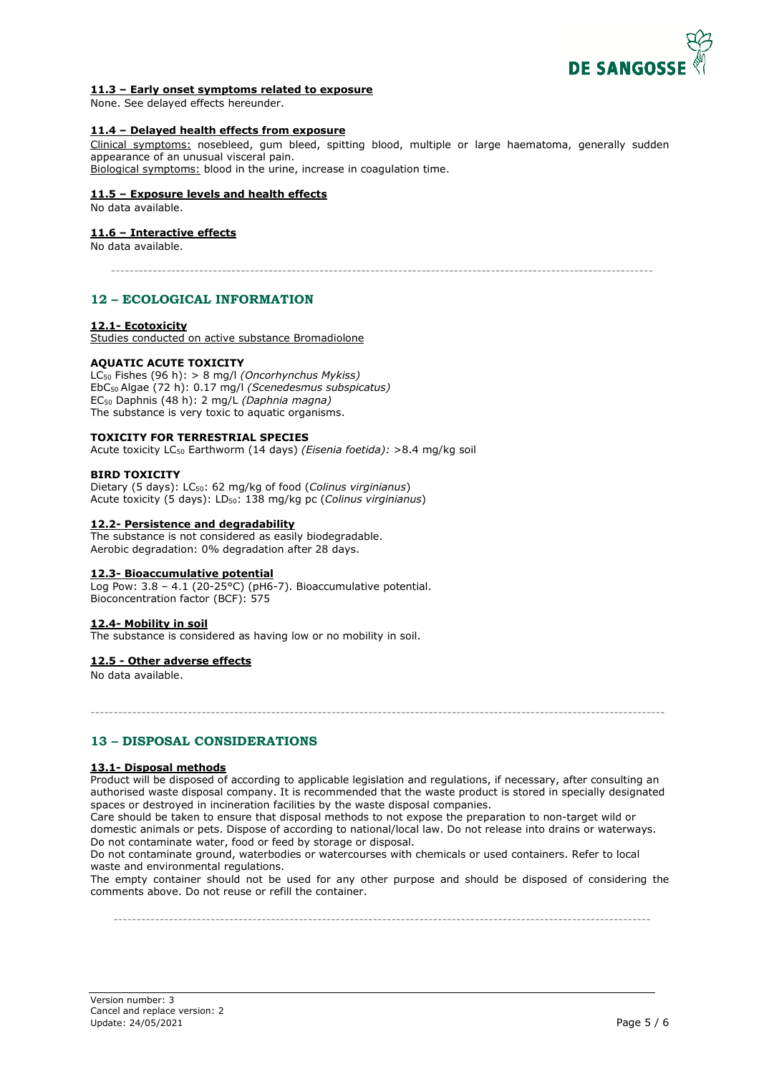

# **11.3 – Early onset symptoms related to exposure**

None. See delayed effects hereunder.

# **11.4 – Delayed health effects from exposure**

Clinical symptoms: nosebleed, gum bleed, spitting blood, multiple or large haematoma, generally sudden appearance of an unusual visceral pain.

Biological symptoms: blood in the urine, increase in coagulation time.

# **11.5 – Exposure levels and health effects**

No data available.

# **11.6 – Interactive effects**

No data available.

---------------------------------------------------------------------------------------------------------------------

# 12 – ECOLOGICAL INFORMATION

# **12.1- Ecotoxicity**

Studies conducted on active substance Bromadiolone

# **AQUATIC ACUTE TOXICITY**

LC50 Fishes (96 h): > 8 mg/l *(Oncorhynchus Mykiss)*  EbC50 Algae (72 h): 0.17 mg/l *(Scenedesmus subspicatus)*  EC50 Daphnis (48 h): 2 mg/L *(Daphnia magna)* The substance is very toxic to aquatic organisms.

#### **TOXICITY FOR TERRESTRIAL SPECIES**

Acute toxicity LC50 Earthworm (14 days) *(Eisenia foetida):* >8.4 mg/kg soil

# **BIRD TOXICITY**

Dietary (5 days): LC50: 62 mg/kg of food (*Colinus virginianus*) Acute toxicity (5 days): LD50: 138 mg/kg pc (*Colinus virginianus*)

# **12.2- Persistence and degradability**

The substance is not considered as easily biodegradable. Aerobic degradation: 0% degradation after 28 days.

# **12.3- Bioaccumulative potential**

Log Pow:  $3.8 - 4.1$  (20-25°C) (pH6-7). Bioaccumulative potential. Bioconcentration factor (BCF): 575

# **12.4- Mobility in soil**

The substance is considered as having low or no mobility in soil.

# **12.5 - Other adverse effects**

No data available.

# 13 - DISPOSAL CONSIDERATIONS

# **13.1- Disposal methods**

Product will be disposed of according to applicable legislation and regulations, if necessary, after consulting an authorised waste disposal company. It is recommended that the waste product is stored in specially designated spaces or destroyed in incineration facilities by the waste disposal companies.

----------------------------------------------------------------------------------------------------------------------------

Care should be taken to ensure that disposal methods to not expose the preparation to non-target wild or domestic animals or pets. Dispose of according to national/local law. Do not release into drains or waterways. Do not contaminate water, food or feed by storage or disposal.

Do not contaminate ground, waterbodies or watercourses with chemicals or used containers. Refer to local waste and environmental regulations.

The empty container should not be used for any other purpose and should be disposed of considering the comments above. Do not reuse or refill the container.

--------------------------------------------------------------------------------------------------------------------